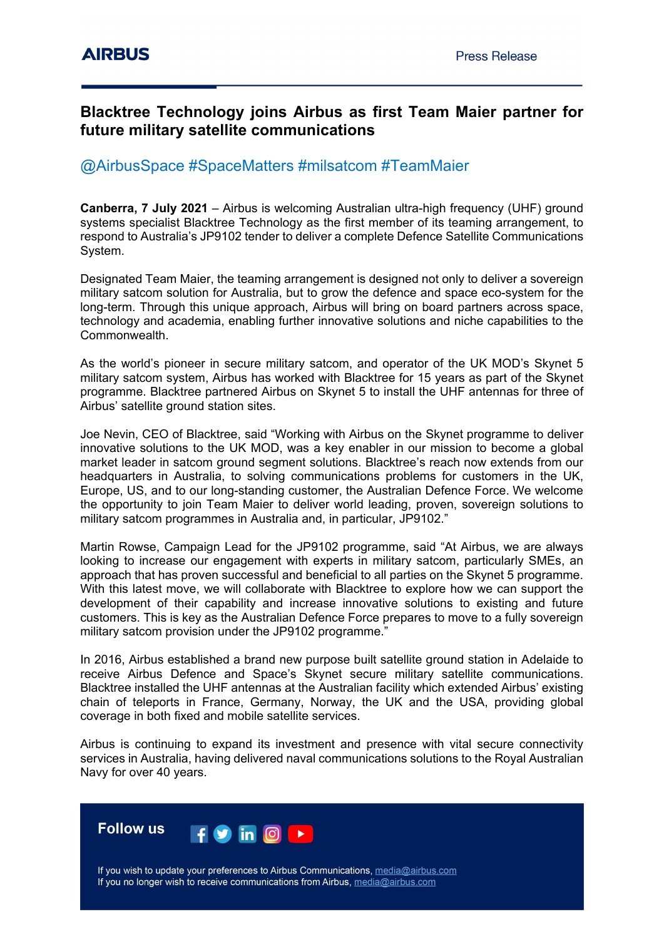## **Blacktree Technology joins Airbus as first Team Maier partner for future military satellite communications**

## @AirbusSpace #SpaceMatters #milsatcom #TeamMaier

**Canberra, 7 July 2021** – Airbus is welcoming Australian ultra-high frequency (UHF) ground systems specialist Blacktree Technology as the first member of its teaming arrangement, to respond to Australia's JP9102 tender to deliver a complete Defence Satellite Communications System.

Designated Team Maier, the teaming arrangement is designed not only to deliver a sovereign military satcom solution for Australia, but to grow the defence and space eco-system for the long-term. Through this unique approach, Airbus will bring on board partners across space, technology and academia, enabling further innovative solutions and niche capabilities to the Commonwealth.

As the world's pioneer in secure military satcom, and operator of the UK MOD's Skynet 5 military satcom system, Airbus has worked with Blacktree for 15 years as part of the Skynet programme. Blacktree partnered Airbus on Skynet 5 to install the UHF antennas for three of Airbus' satellite ground station sites.

Joe Nevin, CEO of Blacktree, said "Working with Airbus on the Skynet programme to deliver innovative solutions to the UK MOD, was a key enabler in our mission to become a global market leader in satcom ground segment solutions. Blacktree's reach now extends from our headquarters in Australia, to solving communications problems for customers in the UK, Europe, US, and to our long-standing customer, the Australian Defence Force. We welcome the opportunity to join Team Maier to deliver world leading, proven, sovereign solutions to military satcom programmes in Australia and, in particular, JP9102."

Martin Rowse, Campaign Lead for the JP9102 programme, said "At Airbus, we are always looking to increase our engagement with experts in military satcom, particularly SMEs, an approach that has proven successful and beneficial to all parties on the Skynet 5 programme. With this latest move, we will collaborate with Blacktree to explore how we can support the development of their capability and increase innovative solutions to existing and future customers. This is key as the Australian Defence Force prepares to move to a fully sovereign military satcom provision under the JP9102 programme."

In 2016, Airbus established a brand new purpose built satellite ground station in Adelaide to receive Airbus Defence and Space's Skynet secure military satellite communications. Blacktree installed the UHF antennas at the Australian facility which extended Airbus' existing chain of teleports in France, Germany, Norway, the UK and the USA, providing global coverage in both fixed and mobile satellite services.

Airbus is continuing to expand its investment and presence with vital secure connectivity services in Australia, having delivered naval communications solutions to the Royal Australian Navy for over 40 years.

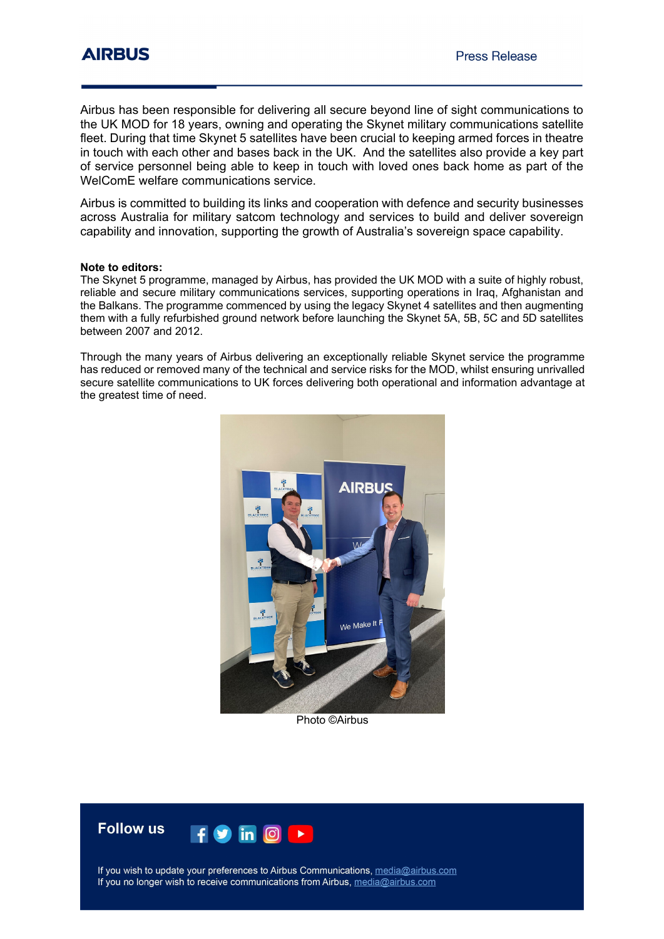Airbus has been responsible for delivering all secure beyond line of sight communications to the UK MOD for 18 years, owning and operating the Skynet military communications satellite fleet. During that time Skynet 5 satellites have been crucial to keeping armed forces in theatre in touch with each other and bases back in the UK. And the satellites also provide a key part of service personnel being able to keep in touch with loved ones back home as part of the WelComE welfare communications service.

Airbus is committed to building its links and cooperation with defence and security businesses across Australia for military satcom technology and services to build and deliver sovereign capability and innovation, supporting the growth of Australia's sovereign space capability.

#### **Note to editors:**

The Skynet 5 programme, managed by Airbus, has provided the UK MOD with a suite of highly robust, reliable and secure military communications services, supporting operations in Iraq, Afghanistan and the Balkans. The programme commenced by using the legacy Skynet 4 satellites and then augmenting them with a fully refurbished ground network before launching the Skynet 5A, 5B, 5C and 5D satellites between 2007 and 2012.

Through the many years of Airbus delivering an exceptionally reliable Skynet service the programme has reduced or removed many of the technical and service risks for the MOD, whilst ensuring unrivalled secure satellite communications to UK forces delivering both operational and information advantage at the greatest time of need.



Photo ©Airbus



If you wish to update your preferences to Airbus Communications, media@airbus.com If you no longer wish to receive communications from Airbus, media@airbus.com